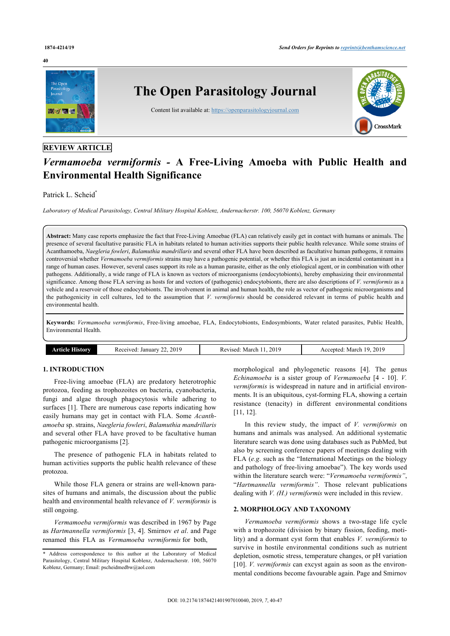#### **40**



# *Vermamoeba vermiformis -* **A Free-Living Amoeba with Public Health and Environmental Health Significance**

Patrick L. Scheid[\\*](#page-0-0)

*Laboratory of Medical Parasitology, Central Military Hospital Koblenz, Andernacherstr. 100, 56070 Koblenz, Germany*

**Abstract:** Many case reports emphasize the fact that Free-Living Amoebae (FLA) can relatively easily get in contact with humans or animals. The presence of several facultative parasitic FLA in habitats related to human activities supports their public health relevance. While some strains of Acanthamoeba, *Naegleria fowleri*, *Balamuthia mandrillaris* and several other FLA have been described as facultative human pathogens, it remains controversial whether *Vermamoeba vermiformis* strains may have a pathogenic potential, or whether this FLA is just an incidental contaminant in a range of human cases. However, several cases support its role as a human parasite, either as the only etiological agent, or in combination with other pathogens. Additionally, a wide range of FLA is known as vectors of microorganisms (endocytobionts), hereby emphasizing their environmental significance. Among those FLA serving as hosts for and vectors of (pathogenic) endocytobionts, there are also descriptions of *V. vermiformis* as a vehicle and a reservoir of those endocytobionts. The involvement in animal and human health, the role as vector of pathogenic microorganisms and the pathogenicity in cell cultures, led to the assumption that *V. vermiformis* should be considered relevant in terms of public health and environmental health.

**Keywords:** *Vermamoeba vermiformis*, Free-living amoebae, FLA, Endocytobionts, Endosymbionts, Water related parasites, Public Health, Environmental Health.

| 2019<br>~<br>Received<br>January<br>. នាយក<br>10 I A<br>ww | 2019<br>. March<br>Revised: | 2019<br>Marr<br>ccepted<br>oю<br>¬ 、 、 、 .<br>____ |
|------------------------------------------------------------|-----------------------------|----------------------------------------------------|
|------------------------------------------------------------|-----------------------------|----------------------------------------------------|

# **1. INTRODUCTION**

Free-living amoebae (FLA) are predatory heterotrophic protozoa, feeding as trophozoites on bacteria, cyanobacteria, fungi and algae through phagocytosis while adhering to surfaces [[1\]](#page-4-0). There are numerous case reports indicating how easily humans may get in contact with FLA. Some *Acanthamoeba* sp. strains, *Naegleria fowleri*, *Balamuthia mandrillaris* and several other FLA have proved to be facultative human pathogenic microorganisms [[2](#page-4-1)].

The presence of pathogenic FLA in habitats related to human activities supports the public health relevance of these protozoa.

While those FLA genera or strains are well-known parasites of humans and animals, the discussion about the public health and environmental health relevance of *V. vermiformis* is still ongoing.

*Vermamoeba vermiformis* was described in 1967 by Page as *Hartmannella vermiformis* [[3](#page-4-2), [4](#page-4-3)]. Smirnov *et al*. and Page renamed this FLA as *Vermamoeba vermiformis* for both,

morphological and phylogenetic reasons [[4\]](#page-4-3). The genus *Echinamoeba* is a sister group of *Vermamoeba* [[4](#page-4-3) - [10\]](#page-4-4). *V. vermiformis* is widespread in nature and in artificial environments. It is an ubiquitous, cyst-forming FLA, showing a certain resistance (tenacity) in different environmental conditions [[11,](#page-4-5) [12](#page-5-0)].

In this review study, the impact of *V. vermiformis* on humans and animals was analysed. An additional systematic literature search was done using databases such as PubMed, but also by screening conference papers of meetings dealing with FLA (*e.g*. such as the "International Meetings on the biology and pathology of free-living amoebae"). The key words used within the literature search were: "*Vermamoeba vermiformis"*, "*Hartmannella vermiformis"*. Those relevant publications dealing with *V. (H.) vermiformis* were included in this review.

# **2. MORPHOLOGY AND TAXONOMY**

*Vermamoeba vermiformis* shows a two-stage life cycle with a trophozoite (division by binary fission, feeding, motility) and a dormant cyst form that enables *V. vermiformis* to survive in hostile environmental conditions such as nutrient depletion, osmotic stress, temperature changes, or pH variation [[10](#page-4-4)]. *V. vermiformis* can excyst again as soon as the environmental conditions become favourable again. Page and Smirnov

<span id="page-0-0"></span><sup>\*</sup> Address correspondence to this author at the Laboratory of Medical Parasitology, Central Military Hospital Koblenz, Andernacherstr. 100, 56070 Koblenz, Germany; Email: [pscheidmedbw@aol.com](mailto:pscheidmedbw@aol.com)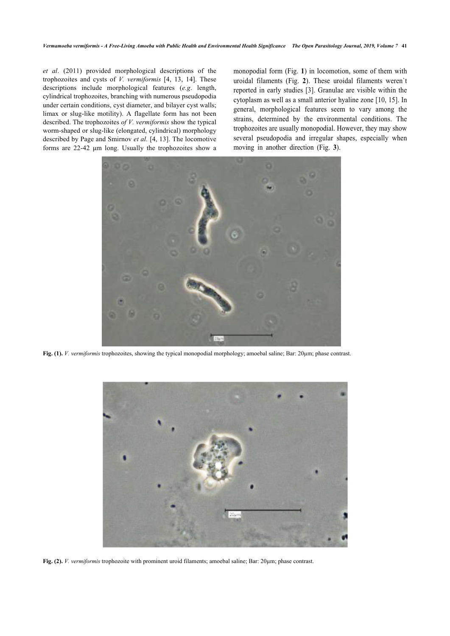*et al*. (2011) provided morphological descriptions of the trophozoites and cysts of *V. vermiformis* [[4,](#page-4-3) [13,](#page-5-1) [14](#page-5-2)]. These descriptions include morphological features (*e.g*. length, cylindrical trophozoites, branching with numerous pseudopodia under certain conditions, cyst diameter, and bilayer cyst walls; limax or slug-like motility). A flagellate form has not been described. The trophozoites *of V. vermiformis* show the typical worm-shaped or slug-like (elongated, cylindrical) morphology described by Page and Smirnov *et al.* [\[4,](#page-4-3) [13](#page-5-1)]. The locomotive forms are 22-42 μm long. Usually the trophozoites show a monopodial form (Fig. **[1](#page-1-0)**) in locomotion, some of them with uroidal filaments (Fig.**2**). These uroidal filaments weren`t reported in early studies [\[3](#page-4-2)]. Granulae are visible within the cytoplasm as well as a small anterior hyaline zone [[10](#page-4-4), [15](#page-5-3)]. In general, morphological features seem to vary among the strains, determined by the environmental conditions. The trophozoites are usually monopodial. However, they may show several pseudopodia and irregularshapes, especially when moving in another direction (Fig. **3**).

<span id="page-1-0"></span>

**Fig. (1).** *V. vermiformis* trophozoites, showing the typical monopodial morphology; amoebal saline; Bar: 20µm; phase contrast.

<span id="page-1-1"></span>

**Fig. (2).** *V. vermiformis* trophozoite with prominent uroid filaments; amoebal saline; Bar: 20µm; phase contrast.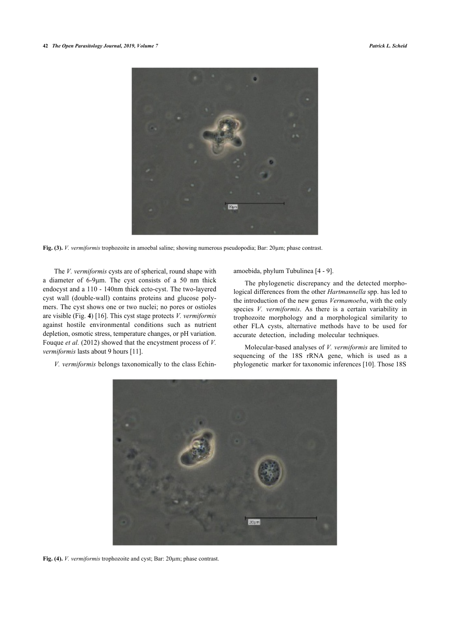<span id="page-2-0"></span>

**Fig. (3).** *V. vermiformis* trophozoite in amoebal saline; showing numerous pseudopodia; Bar: 20µm; phase contrast.

The *V. vermiformis* cysts are of spherical, round shape with a diameter of 6-9μm. The cyst consists of a 50 nm thick endocyst and a 110 - 140nm thick ecto-cyst. The two-layered cyst wall (double-wall) contains proteins and glucose polymers. The cyst shows one or two nuclei; no pores or ostioles are visible (Fig. **[4](#page-2-1)**) [[16\]](#page-5-4). This cyst stage protects *V. vermiformis* against hostile environmental conditions such as nutrient depletion, osmotic stress, temperature changes, or pH variation. Fouque *et al.* (2012) showed that the encystment process of *V. vermiformis* lasts about 9 hours [[11\]](#page-4-5).

*V. vermiformis* belongs taxonomically to the class Echin-

amoebida, phylum Tubulinea [[4](#page-4-3) - [9](#page-4-6)].

The phylogenetic discrepancy and the detected morphological differences from the other *Hartmannella* spp. has led to the introduction of the new genus *Vermamoeba*, with the only species *V. vermiformis*. As there is a certain variability in trophozoite morphology and a morphological similarity to other FLA cysts, alternative methods have to be used for accurate detection, including molecular techniques.

Molecular-based analyses of *V. vermiformis* are limited to sequencing of the 18S rRNA gene, which is used as a phylogenetic marker for taxonomic inferences [[10\]](#page-4-4). Those 18S

<span id="page-2-1"></span>

**Fig. (4).** *V. vermiformis* trophozoite and cyst; Bar: 20µm; phase contrast.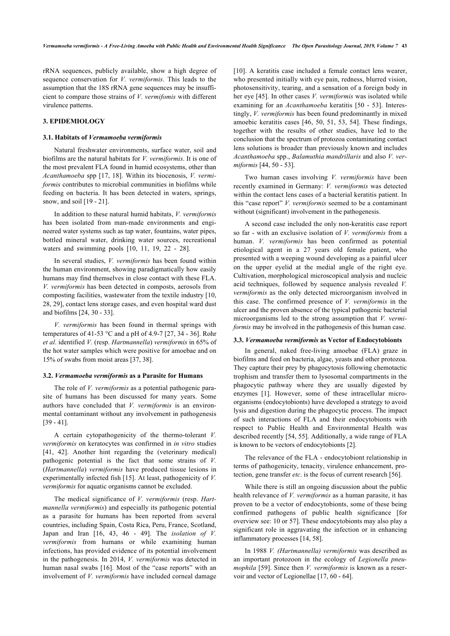rRNA sequences, publicly available, show a high degree of sequence conservation for *V. vermiformis*. This leads to the assumption that the 18S rRNA gene sequences may be insufficient to compare those strains of *V. vermifomis* with different virulence patterns.

# **3. EPIDEMIOLOGY**

# **3.1. Habitats of** *Vermamoeba vermiformis*

Natural freshwater environments, surface water, soil and biofilms are the natural habitats for *V. vermiformis*. It is one of the most prevalent FLA found in humid ecosystems, other than *Acanthamoeba* spp [[17](#page-5-5), [18\]](#page-5-6). Within its biocenosis, *V. vermiformis* contributes to microbial communities in biofilms while feeding on bacteria. It has been detected in waters, springs, snow, and soil [[19](#page-5-7) - [21](#page-5-8)].

In addition to these natural humid habitats, *V. vermiformis* has been isolated from man-made environments and engineered water systems such as tap water, fountains, water pipes, bottled mineral water, drinking water sources, recreational waters and swimming pools[[10,](#page-4-4) [11](#page-4-5), [19,](#page-5-7) [22](#page-5-9) - [28\]](#page-5-10).

In several studies, *V. vermiformis* has been found within the human environment, showing paradigmatically how easily humans may find themselves in close contact with these FLA. *V. vermiformis* has been detected in composts, aerosols from composting facilities, wastewater from the textile industry [[10](#page-4-4), [28,](#page-5-10) [29](#page-5-11)], contact lens storage cases, and even hospital ward dust and biofilms [\[24](#page-5-12), [30](#page-5-13) - [33](#page-5-14)].

*V. vermiformis* has been found in thermal springs with temperatures of 41-53 °C and a pH of 4.9-7 [[27](#page-5-15), [34](#page-5-16) - [36\]](#page-5-17). Rohr *et al*. identified *V.* (resp. *Hartmannella*) *vermiformis* in 65% of the hot water samples which were positive for amoebae and on 15% of swabs from moist areas [\[37](#page-5-18), [38\]](#page-5-19).

## **3.2.** *Vermamoeba vermiformis* **as a Parasite for Humans**

The role of *V. vermiformis* as a potential pathogenic parasite of humans has been discussed for many years. Some authors have concluded that *V. vermiformis* is an environmental contaminant without any involvement in pathogenesis [[39](#page-5-20) - [41](#page-5-21)].

A certain cytopathogenicity of the thermo-tolerant *V. vermiformis* on keratocytes was confirmed in *in vitro* studies [[41,](#page-5-21) [42\]](#page-5-12). Another hint regarding the (veterinary medical) pathogenic potential is the fact that some strains of *V.* (*Hartmannella*) *vermiformis* have produced tissue lesions in experimentally infected fish [[15\]](#page-5-3). At least, pathogenicity of *V. vermiformis* for aquatic organisms cannot be excluded.

The medical significance of *V. vermiformis* (resp. *Hartmannella vermiformis*) and especially its pathogenic potential as a parasite for humans has been reported from several countries, including Spain, Costa Rica, Peru, France, Scotland, Japan and Iran[[16](#page-5-4), [43,](#page-5-22) [46](#page-5-23) - [49](#page-6-0)]. The *isolation of V. vermiformis* from humans or while examining human infections, has provided evidence of its potential involvement in the pathogenesis. In 2014, *V. vermiformis* was detected in human nasal swabs [[16](#page-5-4)]. Most of the "case reports" with an involvement of *V. vermiformis* have included corneal damage

[[10](#page-4-4)]. A keratitis case included a female contact lens wearer, who presented initially with eye pain, redness, blurred vision, photosensitivity, tearing, and a sensation of a foreign body in her eye [[45\]](#page-5-24). In other cases *V. vermiformis* was isolated while examining for an *Acanthamoeba* keratitis[[50](#page-6-1) - [53](#page-6-2)]. Interestingly, *V. vermiformis* has been found predominantly in mixed amoebic keratitis cases [[46](#page-5-23), [50,](#page-6-1) [51,](#page-6-3) [53,](#page-6-2) [54\]](#page-6-4). These findings, together with the results of other studies, have led to the conclusion that the spectrum of protozoa contaminating contact lens solutions is broader than previously known and includes *Acanthamoeba* spp., *Balamuthia mandrillaris* and also *V. vermiformis* [\[44](#page-5-25), [50](#page-6-1) - [53](#page-6-2)].

Two human cases involving *V. vermiformis* have been recently examined in Germany: *V. vermiformis* was detected within the contact lens cases of a bacterial keratitis patient. In this "case report" *V. vermiformis* seemed to be a contaminant without (significant) involvement in the pathogenesis.

A second case included the only non-keratitis case report so far - with an exclusive isolation of *V. vermiformis* from a human. *V. vermiformis* has been confirmed as potential etiological agent in a 27 years old female patient, who presented with a weeping wound developing as a painful ulcer on the upper eyelid at the medial angle of the right eye. Cultivation, morphological microscopical analysis and nucleic acid techniques, followed by sequence analysis revealed *V. vermiformis* as the only detected microorganism involved in this case. The confirmed presence of *V. vermiformis* in the ulcer and the proven absence of the typical pathogenic bacterial microorganisms led to the strong assumption that *V. vermiformis* may be involved in the pathogenesis of this human case.

#### **3.3.** *Vermamoeba vermiformis* **as Vector of Endocytobionts**

In general, naked free-living amoebae (FLA) graze in biofilms and feed on bacteria, algae, yeasts and other protozoa. They capture their prey by phagocytosis following chemotactic trophism and transfer them to lysosomal compartments in the phagocytic pathway where they are usually digested by enzymes[[1\]](#page-4-0). However, some of these intracellular microorganisms (endocytobionts) have developed a strategy to avoid lysis and digestion during the phagocytic process. The impact of such interactions of FLA and their endocytobionts with respect to Public Health and Environmental Health was described recently [[54](#page-6-4), [55\]](#page-6-5). Additionally, a wide range of FLA is known to be vectors of endocytobionts [\[2\]](#page-4-1).

The relevance of the FLA - endocytobiont relationship in terms of pathogenicity, tenacity, virulence enhancement, protection, gene transfer *etc*. is the focus of current research [[56\]](#page-6-6).

While there is still an ongoing discussion about the public health relevance of *V. vermiformis* as a human parasite, it has proven to be a vector of endocytobionts, some of these being confirmed pathogens of public health significance [for overview see: 10 or 57]. These endocytobionts may also play a significant role in aggravating the infection or in enhancing inflammatory processes [[14,](#page-5-2) [58](#page-6-7)].

In 1988 *V. (Hartmannella) vermiformis* was described as an important protozoon in the ecology of *Legionella pneumophila* [\[59](#page-6-8)]. Since then *V. vermiformis* is known as a reservoir and vector of Legionellae [\[17](#page-5-5), [60](#page-6-9) - [64](#page-6-10)].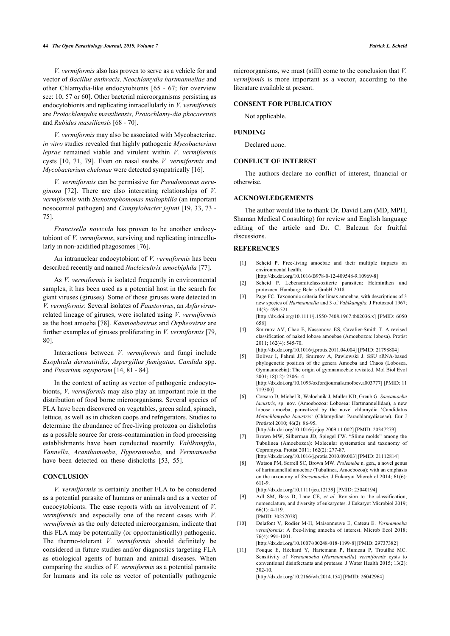#### **44** *The Open Parasitology Journal, 2019, Volume 7 Patrick L. Scheid*

*V. vermiformis* also has proven to serve as a vehicle for and vector of *Bacillus anthracis, Neochlamydia hartmannellae* and other Chlamydia-like endocytobionts [\[65](#page-6-11) - [67;](#page-6-1) for overview see: [10](#page-4-4), [57](#page-6-12) or [60\]](#page-6-9). Other bacterial microorganisms persisting as endocytobionts and replicating intracellularly in *V. vermiformis* are *Protochlamydia massiliensis*, *Protochlamy-dia phocaeensis* and *Rubidus massiliensis* [\[68](#page-6-13) - [70\]](#page-6-14).

*V. vermiformis* may also be associated with Mycobacteriae. *in vitro* studies revealed that highly pathogenic *Mycobacterium leprae* remained viable and virulent within *V. vermiformis* cysts[[10,](#page-4-4) [71](#page-6-15), [79](#page-6-16)]. Even on nasal swabs *V. vermiformis* and *Mycobacterium chelonae* were detected sympatrically [\[16](#page-5-4)].

*V. vermiformis* can be permissive for *Pseudomonas aeruginosa* [[72](#page-6-17)]. There are also interesting relationships of *V. vermiformis* with *Stenotrophomonas maltophilia* (an important nosocomial pathogen) and *Campylobacter jejuni* [\[19](#page-5-7), [33,](#page-5-14) [73](#page-6-18) - [75\]](#page-6-19).

*Francisella novicida* has proven to be another endocytobiont of *V. vermiformis*, surviving and replicating intracellularly in non-acidified phagosomes [[76\]](#page-6-20).

<span id="page-4-0"></span>An intranuclear endocytobiont of *V. vermiformis* has been described recently and named *Nucleicultrix amoebiphila* [[77\]](#page-6-21).

<span id="page-4-2"></span><span id="page-4-1"></span>As *V. vermiformis* is isolated frequently in environmental samples, it has been used as a potential host in the search for giant viruses (giruses). Some of those giruses were detected in *V. vermiformis*: Several isolates of *Faustovirus*, an *Asfarvirus*related lineage of giruses, were isolated using *V. vermiformis* as the host amoeba [[78\]](#page-6-22). *Kaumoebavirus* and *Orpheovirus* are further examples of giruses proliferating in *V. vermiformis* [[79](#page-6-16), [80\]](#page-6-23).

<span id="page-4-3"></span>Interactions between *V. vermiformis* and fungi include *Exophiala dermatitidis*, *Aspergillus fumigatus*, *Candida* spp. and *Fusarium oxysporum* [[14,](#page-5-2) [81](#page-6-24) - [84\]](#page-7-0).

In the context of acting as vector of pathogenic endocytobionts, *V. vermiformis* may also play an important role in the distribution of food borne microorganisms. Several species of FLA have been discovered on vegetables, green salad, spinach, lettuce, as well as in chicken coops and refrigerators. Studies to determine the abundance of free-living protozoa on dishcloths as a possible source for cross-contamination in food processing establishments have been conducted recently. *Vahlkampfia*, *Vannella*, *Acanthamoeba*, *Hyperamoeba*, and *Vermamoeba* have been detected on these dishcloths [\[53](#page-6-2), [55\]](#page-6-5).

# **CONCLUSION**

<span id="page-4-6"></span><span id="page-4-5"></span><span id="page-4-4"></span>*V. vermiformis* is certainly another FLA to be considered as a potential parasite of humans or animals and as a vector of encocytobionts. The case reports with an involvement of *V. vermiformis* and especially one of the recent cases with *V. vermiformis* as the only detected microorganism, indicate that this FLA may be potentially (or opportunistically) pathogenic. The thermo-tolerant *V. vermiformis* should definitely be considered in future studies and/or diagnostics targeting FLA as etiological agents of human and animal diseases. When comparing the studies of *V. vermiformis* as a potential parasite for humans and its role as vector of potentially pathogenic

microorganisms, we must (still) come to the conclusion that *V. vermifomis* is more important as a vector, according to the literature available at present.

# **CONSENT FOR PUBLICATION**

Not applicable.

### **FUNDING**

Declared none.

### **CONFLICT OF INTEREST**

The authors declare no conflict of interest, financial or otherwise.

# **ACKNOWLEDGEMENTS**

The author would like to thank Dr. David Lam (MD, MPH, Shaman Medical Consulting) for review and English language editing of the article and Dr. C. Balczun for fruitful discussions.

# **REFERENCES**

- [1] Scheid P. Free-living amoebae and their multiple impacts on environmental health. [\[http://dx.doi.org/10.1016/B978-0-12-409548-9.10969-8](http://dx.doi.org/10.1016/B978-0-12-409548-9.10969-8)]
- [2] Scheid P. Lebensmittelassoziierte parasiten: Helminthen und
- protozoen. Hamburg: Behr's GmbH 2018. [3] Page FC. Taxonomic criteria for limax amoebae, with descriptions of 3
- new species of *Hartmannella* and 3 of *Vahlkampfia.* J Protozool 1967; 14(3): 499-521.
- [\[http://dx.doi.org/10.1111/j.1550-7408.1967.tb02036.x](http://dx.doi.org/10.1111/j.1550-7408.1967.tb02036.x)] [PMID: [6050](http://www.ncbi.nlm.nih.gov/pubmed/6050%20658) [658](http://www.ncbi.nlm.nih.gov/pubmed/6050%20658)]
- [4] Smirnov AV, Chao E, Nassonova ES, Cavalier-Smith T. A revised classification of naked lobose amoebae (Amoebozoa: lobosa). Protist 2011; 162(4): 545-70.

[\[http://dx.doi.org/10.1016/j.protis.2011.04.004\]](http://dx.doi.org/10.1016/j.protis.2011.04.004) [PMID: [21798804](http://www.ncbi.nlm.nih.gov/pubmed/21798804)]

[5] Bolivar I, Fahrni JF, Smirnov A, Pawlowski J. SSU rRNA-based phylogenetic position of the genera Amoeba and Chaos (Lobosea, Gymnamoebia): The origin of gymnamoebae revisited. Mol Biol Evol 2001; 18(12): 2306-14. [\[http://dx.doi.org/10.1093/oxfordjournals.molbev.a003777\]](http://dx.doi.org/10.1093/oxfordjournals.molbev.a003777) [PMID: [11](http://www.ncbi.nlm.nih.gov/pubmed/11%20719580)

[719580\]](http://www.ncbi.nlm.nih.gov/pubmed/11%20719580)

[6] Corsaro D, Michel R, Walochnik J, Müller KD, Greub G. *Saccamoeba lacustris*, sp. nov. (Amoebozoa: Lobosea: Hartmannellidae), a new lobose amoeba, parasitized by the novel chlamydia 'Candidatus *Metachlamydia lacustris*' (Chlamydiae: Parachlamydiaceae). Eur J Protistol 2010; 46(2): 86-95.

[\[http://dx.doi.org/10.1016/j.ejop.2009.11.002\]](http://dx.doi.org/10.1016/j.ejop.2009.11.002) [PMID: [20347279\]](http://www.ncbi.nlm.nih.gov/pubmed/20347279)

- [7] Brown MW, Silberman JD, Spiegel FW. "Slime molds" among the Tubulinea (Amoebozoa): Molecular systematics and taxonomy of Copromyxa. Protist 2011; 162(2): 277-87.
- [\[http://dx.doi.org/10.1016/j.protis.2010.09.003\]](http://dx.doi.org/10.1016/j.protis.2010.09.003) [PMID: [21112814](http://www.ncbi.nlm.nih.gov/pubmed/21112814)]
- [8] Watson PM, Sorrell SC, Brown MW. *Ptolemeba* n. gen., a novel genus of hartmannellid amoebae (Tubulinea, Amoebozoa); with an emphasis on the taxonomy of *Saccamoeba.* J Eukaryot Microbiol 2014; 61(6): 611-9.
	- [\[http://dx.doi.org/10.1111/jeu.12139](http://dx.doi.org/10.1111/jeu.12139)] [PMID: [25040194\]](http://www.ncbi.nlm.nih.gov/pubmed/25040194)
- [9] Adl SM, Bass D, Lane CE, *et al.* Revision to the classification, nomenclature, and diversity of eukaryotes. J Eukaryot Microbiol 2019; 66(1): 4-119. [PMID: [30257078\]](http://www.ncbi.nlm.nih.gov/pubmed/30257078)
- [10] Delafont V, Rodier M-H, Maisonneuve E, Cateau E. *Vermamoeba vermiformis*: A free-living amoeba of interest. Microb Ecol 2018; 76(4): 991-1001. [\[http://dx.doi.org/10.1007/s00248-018-1199-8\]](http://dx.doi.org/10.1007/s00248-018-1199-8) [PMID: [29737382](http://www.ncbi.nlm.nih.gov/pubmed/29737382)]
- [11] Fouque E, Héchard Y, Hartemann P, Humeau P, Trouilhé MC. Sensitivity of *Vermamoeba* (*Hartmannella*) *vermiformis* cysts to conventional disinfectants and protease. J Water Health 2015; 13(2): 302-10.

[\[http://dx.doi.org/10.2166/wh.2014.154](http://dx.doi.org/10.2166/wh.2014.154)] [PMID: [26042964\]](http://www.ncbi.nlm.nih.gov/pubmed/26042964)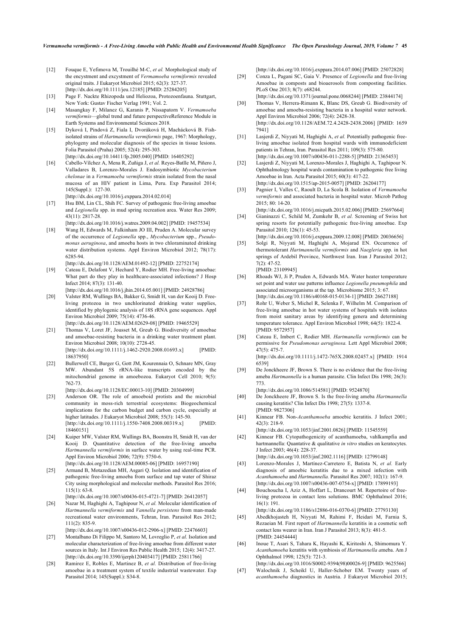- <span id="page-5-11"></span><span id="page-5-0"></span>[12] Fouque E, Yefimova M, Trouilhé M-C, *et al.* Morphological study of the encystment and excystment of *Vermamoeba vermiformis* revealed original traits. J Eukaryot Microbiol 2015; 62(3): 327-37. [\[http://dx.doi.org/10.1111/jeu.12185\]](http://dx.doi.org/10.1111/jeu.12185) [PMID: [25284205\]](http://www.ncbi.nlm.nih.gov/pubmed/25284205)
- <span id="page-5-13"></span><span id="page-5-1"></span>[13] Page F. Nackte Rhizopoda und Heliozoa, Protozoenfauna. Stuttgart, New York: Gustav Fischer Verlag 1991; Vol. 2.
- <span id="page-5-2"></span>[14] Masangkay F, Milanez G, Karanis P, Nissapatorn V. *Vermamoeba vermiformis*—global trend and future perspectiveReference Module in Earth Systems and Environmental Sciences 2018.
- <span id="page-5-3"></span>[15] Dyková I, Pindová Z, Fiala I, Dvoráková H, Machácková B. Fishisolated strains of *Hartmannella vermiformis* page, 1967: Morphology, phylogeny and molecular diagnosis of the species in tissue lesions. Folia Parasitol (Praha) 2005; 52(4): 295-303. [\[http://dx.doi.org/10.14411/fp.2005.040\]](http://dx.doi.org/10.14411/fp.2005.040) [PMID: [16405292](http://www.ncbi.nlm.nih.gov/pubmed/16405292)]
- <span id="page-5-4"></span>[16] Cabello-Vílchez A, Mena R, Zuñiga J, *et al.* Reyes-Batlle M, Piñero J, Valladares B, Lorenzo-Morales J. Endosymbiotic *Mycobacterium chelonae* in a *Vermamoeba vermiformis* strain isolated from the nasal mucosa of an HIV patient in Lima, Peru. Exp Parasitol 2014; 145(Suppl.): 127-30.
- [\[http://dx.doi.org/10.1016/j.exppara.2014.02.014\]](http://dx.doi.org/10.1016/j.exppara.2014.02.014)
- <span id="page-5-14"></span><span id="page-5-5"></span>[17] Hsu BM, Lin CL, Shih FC. Survey of pathogenic free-living amoebae and *Legionella* spp. in mud spring recreation area. Water Res 2009; 43(11): 2817-28. [\[http://dx.doi.org/10.1016/j.watres.2009.04.002\]](http://dx.doi.org/10.1016/j.watres.2009.04.002) [PMID: [19457534](http://www.ncbi.nlm.nih.gov/pubmed/19457534)]
- <span id="page-5-16"></span><span id="page-5-6"></span>[18] Wang H, Edwards M, Falkinham JO III, Pruden A. Molecular survey of the occurrence of *Legionella* spp., *Mycobacterium* spp., *Pseudomonas aeruginosa*, and amoeba hosts in two chloraminated drinking water distribution systems. Appl Environ Microbiol 2012; 78(17): 6285-94.
- <span id="page-5-17"></span><span id="page-5-7"></span>[\[http://dx.doi.org/10.1128/AEM.01492-12](http://dx.doi.org/10.1128/AEM.01492-12)] [PMID: [22752174\]](http://www.ncbi.nlm.nih.gov/pubmed/22752174) [19] Cateau E, Delafont V, Hechard Y, Rodier MH. Free-living amoebae: What part do they play in healthcare-associated infections? J Hosp Infect 2014; 87(3): 131-40.
- [\[http://dx.doi.org/10.1016/j.jhin.2014.05.001\]](http://dx.doi.org/10.1016/j.jhin.2014.05.001) [PMID: [24928786](http://www.ncbi.nlm.nih.gov/pubmed/24928786)]
- <span id="page-5-18"></span>[20] Valster RM, Wullings BA, Bakker G, Smidt H, van der Kooij D. Freeliving protozoa in two unchlorinated drinking water supplies, identified by phylogenic analysis of 18S rRNA gene sequences. Appl Environ Microbiol 2009; 75(14): 4736-46.
	- [\[http://dx.doi.org/10.1128/AEM.02629-08](http://dx.doi.org/10.1128/AEM.02629-08)] [PMID: [19465529\]](http://www.ncbi.nlm.nih.gov/pubmed/19465529)
- <span id="page-5-19"></span><span id="page-5-8"></span>[21] Thomas V, Loret JF, Jousset M, Greub G. Biodiversity of amoebae and amoebae-resisting bacteria in a drinking water treatment plant. Environ Microbiol 2008; 10(10): 2728-45. [\[http://dx.doi.org/10.1111/j.1462-2920.2008.01693.x\]](http://dx.doi.org/10.1111/j.1462-2920.2008.01693.x) [PMID: [18637950\]](http://www.ncbi.nlm.nih.gov/pubmed/18637950)
- <span id="page-5-20"></span><span id="page-5-9"></span>[22] Bullerwell CE, Burger G, Gott JM, Kourennaia O, Schnare MN, Gray MW. Abundant 5S rRNA-like transcripts encoded by the mitochondrial genome in amoebozoa. Eukaryot Cell 2010; 9(5): 762-73.
	- [\[http://dx.doi.org/10.1128/EC.00013-10\]](http://dx.doi.org/10.1128/EC.00013-10) [PMID: [20304999](http://www.ncbi.nlm.nih.gov/pubmed/20304999)]
- <span id="page-5-21"></span>[23] Anderson OR. The role of amoeboid protists and the microbial community in moss-rich terrestrial ecosystems: Biogeochemical implications for the carbon budget and carbon cycle, especially at higher latitudes. J Eukaryot Microbiol 2008; 55(3): 145-50. [\[http://dx.doi.org/10.1111/j.1550-7408.2008.00319.x\]](http://dx.doi.org/10.1111/j.1550-7408.2008.00319.x) [PMID: [18460151\]](http://www.ncbi.nlm.nih.gov/pubmed/18460151)
- <span id="page-5-12"></span>[24] Kuiper MW, Valster RM, Wullings BA, Boonstra H, Smidt H, van der Kooij D. Quantitative detection of the free-living amoeba *Hartmannella vermiformis* in surface water by using real-time PCR. Appl Environ Microbiol 2006; 72(9): 5750-6. [\[http://dx.doi.org/10.1128/AEM.00085-06](http://dx.doi.org/10.1128/AEM.00085-06)] [PMID: [16957190\]](http://www.ncbi.nlm.nih.gov/pubmed/16957190)
- <span id="page-5-22"></span>[25] Armand B, Motazedian MH, Asgari Q. Isolation and identification of pathogenic free-living amoeba from surface and tap water of Shiraz City using morphological and molecular methods. Parasitol Res 2016; 115(1): 63-8.
- <span id="page-5-25"></span><span id="page-5-24"></span>[\[http://dx.doi.org/10.1007/s00436-015-4721-7](http://dx.doi.org/10.1007/s00436-015-4721-7)] [PMID: [26412057\]](http://www.ncbi.nlm.nih.gov/pubmed/26412057) [26] Nazar M, Haghighi A, Taghipour N, *et al.* Molecular identification of *Hartmannella vermiformis* and *Vannella persistens* from man-made recreational water environments, Tehran, Iran. Parasitol Res 2012; 111(2): 835-9.

[\[http://dx.doi.org/10.1007/s00436-012-2906-x](http://dx.doi.org/10.1007/s00436-012-2906-x)] [PMID: [22476603\]](http://www.ncbi.nlm.nih.gov/pubmed/22476603)

- <span id="page-5-23"></span><span id="page-5-15"></span>[27] Montalbano Di Filippo M, Santoro M, Lovreglio P, *et al.* Isolation and molecular characterization of free-living amoebae from different water sources in Italy. Int J Environ Res Public Health 2015; 12(4): 3417-27. [\[http://dx.doi.org/10.3390/ijerph120403417](http://dx.doi.org/10.3390/ijerph120403417)] [PMID: [25811766\]](http://www.ncbi.nlm.nih.gov/pubmed/25811766)
- <span id="page-5-10"></span>[28] Ramirez E, Robles E, Martinez B, *et al.* Distribution of free-living amoebae in a treatment system of textile industrial wastewater. Exp Parasitol 2014; 145(Suppl.): S34-8.

[\[http://dx.doi.org/10.1016/j.exppara.2014.07.006](http://dx.doi.org/10.1016/j.exppara.2014.07.006)] [PMID: [25072828\]](http://www.ncbi.nlm.nih.gov/pubmed/25072828)

- [29] Conza L, Pagani SC, Gaia V. Presence of *Legionella* and free-living Amoebae in composts and bioaerosols from composting facilities. PLoS One 2013; 8(7): e68244. [\[http://dx.doi.org/10.1371/journal.pone.0068244\]](http://dx.doi.org/10.1371/journal.pone.0068244) [PMID: [23844174\]](http://www.ncbi.nlm.nih.gov/pubmed/23844174)
- [30] Thomas V, Herrera-Rimann K, Blanc DS, Greub G. Biodiversity of
- amoebae and amoeba-resisting bacteria in a hospital water network. Appl Environ Microbiol 2006; 72(4): 2428-38. [\[http://dx.doi.org/10.1128/AEM.72.4.2428-2438.2006\]](http://dx.doi.org/10.1128/AEM.72.4.2428-2438.2006) [PMID: [1659](http://www.ncbi.nlm.nih.gov/pubmed/1659%207941) [7941\]](http://www.ncbi.nlm.nih.gov/pubmed/1659%207941)
- [31] Lasjerdi Z, Niyyati M, Haghighi A, *et al.* Potentially pathogenic freeliving amoebae isolated from hospital wards with immunodeficient patients in Tehran, Iran. Parasitol Res 2011; 109(3): 575-80. [\[http://dx.doi.org/10.1007/s00436-011-2288-5\]](http://dx.doi.org/10.1007/s00436-011-2288-5) [PMID: [21365453](http://www.ncbi.nlm.nih.gov/pubmed/21365453)]
- [32] Lasjerdi Z, Niyyati M, Lorenzo-Morales J, Haghighi A, Taghipour N. Ophthalmology hospital wards contamination to pathogenic free living Amoebae in Iran. Acta Parasitol 2015; 60(3): 417-22. [\[http://dx.doi.org/10.1515/ap-2015-0057\]](http://dx.doi.org/10.1515/ap-2015-0057) [PMID: [26204177](http://www.ncbi.nlm.nih.gov/pubmed/26204177)]
- [33] Pagnier I, Valles C, Raoult D, La Scola B. Isolation of *Vermamoeba vermiformis* and associated bacteria in hospital water. Microb Pathog 2015; 80: 14-20.
- [\[http://dx.doi.org/10.1016/j.micpath.2015.02.006](http://dx.doi.org/10.1016/j.micpath.2015.02.006)] [PMID: [25697664](http://www.ncbi.nlm.nih.gov/pubmed/25697664)] [34] Gianinazzi C, Schild M, Zumkehr B, *et al.* Screening of Swiss hot
- spring resorts for potentially pathogenic free-living amoebae. Exp Parasitol 2010; 126(1): 45-53. [\[http://dx.doi.org/10.1016/j.exppara.2009.12.008](http://dx.doi.org/10.1016/j.exppara.2009.12.008)] [PMID: [20036656\]](http://www.ncbi.nlm.nih.gov/pubmed/20036656)
- [35] Solgi R, Niyyati M, Haghighi A, Mojarad EN. Occurrence of thermotolerant *Hartmannella vermiformis* and *Naegleria* spp. in hot springs of Ardebil Province, Northwest Iran. Iran J Parasitol 2012; 7(2): 47-52.

[PMID: [23109945\]](http://www.ncbi.nlm.nih.gov/pubmed/23109945)

- [36] Rhoads WJ, Ji P, Pruden A, Edwards MA. Water heater temperature set point and water use patterns influence *Legionella pneumophila* and associated microorganisms at the tap. Microbiome 2015; 3: 67. [\[http://dx.doi.org/10.1186/s40168-015-0134-1\]](http://dx.doi.org/10.1186/s40168-015-0134-1) [PMID: [26627188](http://www.ncbi.nlm.nih.gov/pubmed/26627188)]
- [37] Rohr U, Weber S, Michel R, Selenka F, Wilhelm M. Comparison of free-living amoebae in hot water systems of hospitals with isolates from moist sanitary areas by identifying genera and determining temperature tolerance. Appl Environ Microbiol 1998; 64(5): 1822-4. [PMID: [9572957](http://www.ncbi.nlm.nih.gov/pubmed/9572957)]
- [38] Cateau E, Imbert C, Rodier MH. *Hartmanella vermiformis* can be permissive for *Pseudomonas aeruginosa.* Lett Appl Microbiol 2008;  $47(5)$ : 475-7. [\[http://dx.doi.org/10.1111/j.1472-765X.2008.02457.x](http://dx.doi.org/10.1111/j.1472-765X.2008.02457.x)] [PMID: [1914](http://www.ncbi.nlm.nih.gov/pubmed/1914%206539)

[6539\]](http://www.ncbi.nlm.nih.gov/pubmed/1914%206539)

- [39] De Jonckheere JF, Brown S. There is no evidence that the free-living ameba *Hartmannella* is a human parasite. Clin Infect Dis 1998; 26(3): 773.
	- [\[http://dx.doi.org/10.1086/514581](http://dx.doi.org/10.1086/514581)] [PMID: [9524870\]](http://www.ncbi.nlm.nih.gov/pubmed/9524870)
- [40] De Jonckheere JF, Brown S. Is the free-living ameba *Hartmannella* causing keratitis? Clin Infect Dis 1998; 27(5): 1337-8. [PMID: [9827306](http://www.ncbi.nlm.nih.gov/pubmed/9827306)]
- [41] Kinnear FB. Non-*Acanthamoeba* amoebic keratitis. J Infect 2001; 42(3): 218-9.

[\[http://dx.doi.org/10.1053/jinf.2001.0826\]](http://dx.doi.org/10.1053/jinf.2001.0826) [PMID: [11545559](http://www.ncbi.nlm.nih.gov/pubmed/11545559)]

[42] Kinnear FB. Cytopathogenicity of acanthamoeba, vahlkampfia and hartmannella: Quantative & qualitative *in vitro* studies on keratocytes. J Infect 2003; 46(4): 228-37.

[\[http://dx.doi.org/10.1053/jinf.2002.1116\]](http://dx.doi.org/10.1053/jinf.2002.1116) [PMID: [12799148](http://www.ncbi.nlm.nih.gov/pubmed/12799148)]

- [43] Lorenzo-Morales J, Martínez-Carretero E, Batista N, *et al.* Early diagnosis of amoebic keratitis due to a mixed infection with *Acanthamoeba* and *Hartmannella.* Parasitol Res 2007; 102(1): 167-9. [\[http://dx.doi.org/10.1007/s00436-007-0754-x\]](http://dx.doi.org/10.1007/s00436-007-0754-x) [PMID: [17899193](http://www.ncbi.nlm.nih.gov/pubmed/17899193)]
- [44] Bouchoucha I, Aziz A, Hoffart L, Drancourt M, Repertoire of freeliving protozoa in contact lens solutions. BMC Ophthalmol 2016;  $16(1)$ : 191.

[\[http://dx.doi.org/10.1186/s12886-016-0370-6\]](http://dx.doi.org/10.1186/s12886-016-0370-6) [PMID: [27793130](http://www.ncbi.nlm.nih.gov/pubmed/27793130)]

- [45] Abedkhojasteh H, Niyyati M, Rahimi F, Heidari M, Farnia S, Rezaeian M. First report of *Hartmannella* keratitis in a cosmetic soft contact lens wearer in Iran. Iran J Parasitol 2013; 8(3): 481-5. [PMID: [24454444\]](http://www.ncbi.nlm.nih.gov/pubmed/24454444)
- [46] Inoue T, Asari S, Tahara K, Hayashi K, Kiritoshi A, Shimomura Y. *Acanthamoeba* keratitis with symbiosis of *Hartmannella a*meba. Am J Ophthalmol 1998; 125(5): 721-3.

[\[http://dx.doi.org/10.1016/S0002-9394\(98\)00026-9\]](http://dx.doi.org/10.1016/S0002-9394(98)00026-9) [PMID: [9625566\]](http://www.ncbi.nlm.nih.gov/pubmed/9625566) [47] Walochnik J, Scheikl U, Haller-Schober EM. Twenty years of

*acanthamoeba* diagnostics in Austria. J Eukaryot Microbiol 2015;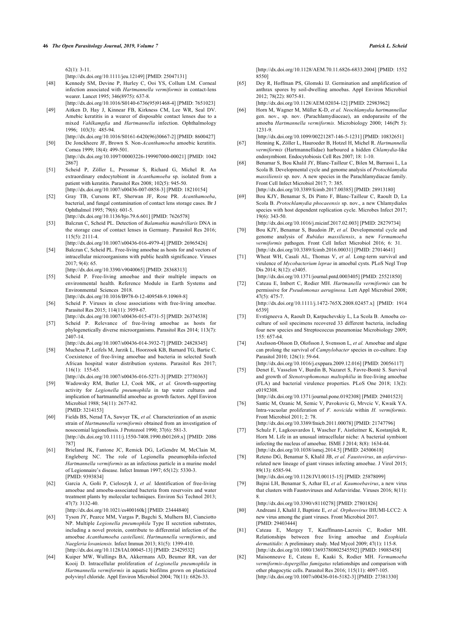$62(1)$ : 3-11.

[\[http://dx.doi.org/10.1111/jeu.12149\]](http://dx.doi.org/10.1111/jeu.12149) [PMID: [25047131\]](http://www.ncbi.nlm.nih.gov/pubmed/25047131)

- <span id="page-6-11"></span>[48] Kennedy SM, Devine P, Hurley C, Ooi YS, Collum LM. Corneal infection associated with *Hartmannella vermiformis* in contact-lens wearer. Lancet 1995; 346(8975): 637-8.
- <span id="page-6-0"></span>[\[http://dx.doi.org/10.1016/S0140-6736\(95\)91468-4](http://dx.doi.org/10.1016/S0140-6736(95)91468-4)] [PMID: [7651023](http://www.ncbi.nlm.nih.gov/pubmed/7651023)] [49] Aitken D, Hay J, Kinnear FB, Kirkness CM, Lee WR, Seal DV. Amebic keratitis in a wearer of disposable contact lenses due to a mixed *Vahlkampfia* and *Hartmannella* infection. Ophthalmology 1996; 103(3): 485-94.
- <span id="page-6-1"></span>[\[http://dx.doi.org/10.1016/S0161-6420\(96\)30667-2](http://dx.doi.org/10.1016/S0161-6420(96)30667-2)] [PMID: [8600427](http://www.ncbi.nlm.nih.gov/pubmed/8600427)] [50] De Jonckheere JF, Brown S. Non-*Acanthamoeba* amoebic keratitis. Cornea 1999; 18(4): 499-501.
- [\[http://dx.doi.org/10.1097/00003226-199907000-00021\]](http://dx.doi.org/10.1097/00003226-199907000-00021) [PMID: [1042](http://www.ncbi.nlm.nih.gov/pubmed/1042%202867) [2867\]](http://www.ncbi.nlm.nih.gov/pubmed/1042%202867)
- <span id="page-6-13"></span><span id="page-6-3"></span>[51] Scheid P, Zöller L, Pressmar S, Richard G, Michel R. An extraordinary endocytobiont in *Acanthamoeba* sp. isolated from a patient with keratitis. Parasitol Res 2008; 102(5): 945-50. [\[http://dx.doi.org/10.1007/s00436-007-0858-3](http://dx.doi.org/10.1007/s00436-007-0858-3)] [PMID: [18210154\]](http://www.ncbi.nlm.nih.gov/pubmed/18210154)
- [52] Gray TB, Cursons RT, Sherwan JF, Rose PR. *Acanthamoeba*, bacterial, and fungal contamination of contact lens storage cases. Br J Ophthalmol 1995; 79(6): 601-5.
- <span id="page-6-14"></span><span id="page-6-2"></span>[\[http://dx.doi.org/10.1136/bjo.79.6.601](http://dx.doi.org/10.1136/bjo.79.6.601)] [PMID: [7626578](http://www.ncbi.nlm.nih.gov/pubmed/7626578)] [53] Balczun C, Scheid PL. Detection of *Balamuthia mandrillaris* DNA in the storage case of contact lenses in Germany. Parasitol Res 2016; 115(5): 2111-4.

[\[http://dx.doi.org/10.1007/s00436-016-4979-4](http://dx.doi.org/10.1007/s00436-016-4979-4)] [PMID: [26965426\]](http://www.ncbi.nlm.nih.gov/pubmed/26965426)

- <span id="page-6-15"></span><span id="page-6-4"></span>[54] Balczun C, Scheid PL. Free-living amoebae as hosts for and vectors of intracellular microorganisms with public health significance. Viruses  $2017:9(4):65.$ 
	- [\[http://dx.doi.org/10.3390/v9040065](http://dx.doi.org/10.3390/v9040065)] [PMID: [28368313\]](http://www.ncbi.nlm.nih.gov/pubmed/28368313)
- <span id="page-6-17"></span><span id="page-6-5"></span>[55] Scheid P. Free-living amoebae and their multiple impacts on environmental health. Reference Module in Earth Systems and Environmental Sciences 2018. [\[http://dx.doi.org/10.1016/B978-0-12-409548-9.10969-8\]](http://dx.doi.org/10.1016/B978-0-12-409548-9.10969-8)
- <span id="page-6-6"></span>[56] Scheid P. Viruses in close associations with free-living amoebae. Parasitol Res 2015; 114(11): 3959-67.
- <span id="page-6-18"></span><span id="page-6-12"></span>[\[http://dx.doi.org/10.1007/s00436-015-4731-5](http://dx.doi.org/10.1007/s00436-015-4731-5)] [PMID: [26374538\]](http://www.ncbi.nlm.nih.gov/pubmed/26374538) [57] Scheid P. Relevance of free-living amoebae as hosts for
- phylogenetically diverse microorganisms. Parasitol Res 2014; 113(7): 2407-14. [\[http://dx.doi.org/10.1007/s00436-014-3932-7](http://dx.doi.org/10.1007/s00436-014-3932-7)] [PMID: [24828345\]](http://www.ncbi.nlm.nih.gov/pubmed/24828345)
- <span id="page-6-7"></span>[58] Muchesa P, Leifels M, Jurzik L, Hoorzook KB, Barnard TG, Bartie C. Coexistence of free-living amoebae and bacteria in selected South African hospital water distribution systems. Parasitol Res 2017; 116(1): 155-65.
- <span id="page-6-19"></span><span id="page-6-8"></span>[\[http://dx.doi.org/10.1007/s00436-016-5271-3](http://dx.doi.org/10.1007/s00436-016-5271-3)] [PMID: [27730363\]](http://www.ncbi.nlm.nih.gov/pubmed/27730363) [59] Wadowsky RM, Butler LJ, Cook MK, *et al.* Growth-supporting activity for *Legionella pneumophila* in tap water cultures and implication of hartmannellid amoebae as growth factors. Appl Environ Microbiol 1988; 54(11): 2677-82. [PMID: [3214153\]](http://www.ncbi.nlm.nih.gov/pubmed/3214153)
- <span id="page-6-21"></span><span id="page-6-20"></span><span id="page-6-9"></span>[60] Fields BS, Nerad TA, Sawyer TK, *et al.* Characterization of an axenic strain of *Hartmannella vermiformis* obtained from an investigation of nosocomial legionellosis. J Protozool 1990; 37(6): 581-3. [\[http://dx.doi.org/10.1111/j.1550-7408.1990.tb01269.x\]](http://dx.doi.org/10.1111/j.1550-7408.1990.tb01269.x) [PMID: [2086](http://www.ncbi.nlm.nih.gov/pubmed/2086%20787) [787](http://www.ncbi.nlm.nih.gov/pubmed/2086%20787)]
- <span id="page-6-22"></span>[61] Brieland JK, Fantone JC, Remick DG, LeGendre M, McClain M, Engleberg NC. The role of Legionella pneumophila-infected *Hartmannella vermiformis* as an infectious particle in a murine model of Legionnaire's disease. Infect Immun 1997; 65(12): 5330-3. [PMID: [9393834\]](http://www.ncbi.nlm.nih.gov/pubmed/9393834)
- <span id="page-6-16"></span>[62] Garcia A, Goñi P, Cieloszyk J, *et al.* Identification of free-living amoebae and amoeba-associated bacteria from reservoirs and water treatment plants by molecular techniques. Environ Sci Technol 2013;  $47(7)$ : 3132-40.
	- [\[http://dx.doi.org/10.1021/es400160k\]](http://dx.doi.org/10.1021/es400160k) [PMID: [23444840](http://www.ncbi.nlm.nih.gov/pubmed/23444840)]
- <span id="page-6-24"></span><span id="page-6-23"></span>[63] Tyson JY, Pearce MM, Vargas P, Bagchi S, Mulhern BJ, Cianciotto NP. Multiple *Legionella pneumophila* Type II secretion substrates, including a novel protein, contribute to differential infection of the amoebae *Acanthamoeba castellanii, Hartmannella vermiformis*, and *Naegleria lovaniensis.* Infect Immun 2013; 81(5): 1399-410. [\[http://dx.doi.org/10.1128/IAI.00045-13](http://dx.doi.org/10.1128/IAI.00045-13)] [PMID: [23429532](http://www.ncbi.nlm.nih.gov/pubmed/23429532)]
- <span id="page-6-10"></span>[64] Kuiper MW, Wullings BA, Akkermans AD, Beumer RR, van der Kooij D. Intracellular proliferation of *Legionella pneumophila* in *Hartmannella vermiformis* in aquatic biofilms grown on plasticized polyvinyl chloride. Appl Environ Microbiol 2004; 70(11): 6826-33.

[\[http://dx.doi.org/10.1128/AEM.70.11.6826-6833.2004\]](http://dx.doi.org/10.1128/AEM.70.11.6826-6833.2004) [PMID: [1552](http://www.ncbi.nlm.nih.gov/pubmed/1552%208550) [8550\]](http://www.ncbi.nlm.nih.gov/pubmed/1552%208550)

- [65] Dey R, Hoffman PS, Glomski IJ. Germination and amplification of anthrax spores by soil-dwelling amoebas. Appl Environ Microbiol 2012; 78(22): 8075-81.
	- [\[http://dx.doi.org/10.1128/AEM.02034-12\]](http://dx.doi.org/10.1128/AEM.02034-12) [PMID: [22983962](http://www.ncbi.nlm.nih.gov/pubmed/22983962)]
- [66] Horn M, Wagner M, Müller K-D, *et al. Neochlamydia hartmannellae* gen. nov., sp. nov. (Parachlamydiaceae), an endoparasite of the amoeba *Hartmannella vermiformis.* Microbiology 2000; 146(Pt 5): 1231-9.

[\[http://dx.doi.org/10.1099/00221287-146-5-1231](http://dx.doi.org/10.1099/00221287-146-5-1231)] [PMID: [10832651](http://www.ncbi.nlm.nih.gov/pubmed/10832651)]

- [67] Henning K, Zöller L, Hauroeder B, Hotzel H, Michel R. *Hartmannella vermiformis* (Hartmannellidae) harboured a hidden *Chlamydia*-like endosymbiont. Endocytobiosis Cell Res 2007; 18: 1-10.
- [68] Benamar S, Bou Khalil JY, Blanc-Tailleur C, Bilen M, Barrassi L, La Scola B. Developmental cycle and genome analysis of *Protochlamydia massiliensis* sp. nov. A new species in the Parachlamydiacae family. Front Cell Infect Microbiol 2017; 7: 385.

[\[http://dx.doi.org/10.3389/fcimb.2017.00385\]](http://dx.doi.org/10.3389/fcimb.2017.00385) [PMID: [28913180](http://www.ncbi.nlm.nih.gov/pubmed/28913180)]

[69] Bou KJY, Benamar S, Di Pinto F, Blanc-Tailleur C, Raoult D, La Scola B. *Protochlamydia phocaeensis* sp. nov., a new Chlamydiales species with host dependent replication cycle. Microbes Infect 2017; 19(6): 343-50.

[\[http://dx.doi.org/10.1016/j.micinf.2017.02.003](http://dx.doi.org/10.1016/j.micinf.2017.02.003)] [PMID: [28279734\]](http://www.ncbi.nlm.nih.gov/pubmed/28279734)

- [70] Bou KJY, Benamar S, Baudoin JP, *et al.* Developmental cycle and genome analysis of *Rubidus massiliensis*, a new *Vermamoeba vermiformis* pathogen. Front Cell Infect Microbiol 2016; 6: 31. [\[http://dx.doi.org/10.3389/fcimb.2016.00031\]](http://dx.doi.org/10.3389/fcimb.2016.00031) [PMID: [27014641](http://www.ncbi.nlm.nih.gov/pubmed/27014641)]
- [71] Wheat WH, Casali AL, Thomas V, et al. Long-term survival and virulence of *Mycobacterium leprae* in amoebal cysts. PLoS Negl Trop Dis 2014: 8(12): e3405.
- [\[http://dx.doi.org/10.1371/journal.pntd.0003405\]](http://dx.doi.org/10.1371/journal.pntd.0003405) [PMID: [25521850](http://www.ncbi.nlm.nih.gov/pubmed/25521850)] [72] Cateau E, Imbert C, Rodier MH. *Hartmanella vermiformis* can be permissive for *Pseudomonas aeruginosa.* Lett Appl Microbiol 2008; 47(5): 475-7. [\[http://dx.doi.org/10.1111/j.1472-765X.2008.02457.x](http://dx.doi.org/10.1111/j.1472-765X.2008.02457.x)] [PMID: [1914](http://www.ncbi.nlm.nih.gov/pubmed/1914%206539) [6539\]](http://www.ncbi.nlm.nih.gov/pubmed/1914%206539)
- [73] Evstigneeva A, Raoult D, Karpachevskiy L, La Scola B. Amoeba coculture of soil specimens recovered 33 different bacteria, including four new species and Streptococcus pneumoniae Microbiology 2009; 155: 657-64.
- [74] Axelsson-Olsson D, Olofsson J, Svensson L, *et al.* Amoebae and algae can prolong the survival of *Campylobacter* species in co-culture. Exp Parasitol 2010; 126(1): 59-64.

[\[http://dx.doi.org/10.1016/j.exppara.2009.12.016](http://dx.doi.org/10.1016/j.exppara.2009.12.016)] [PMID: [20056117\]](http://www.ncbi.nlm.nih.gov/pubmed/20056117)

[75] Denet E, Vasselon V, Burdin B, Nazaret S, Favre-Bonté S. Survival and growth of *Stenotrophomonas maltophilia* in free-living amoebae (FLA) and bacterial virulence properties. PLoS One 2018; 13(2): e0192308.

[\[http://dx.doi.org/10.1371/journal.pone.0192308\]](http://dx.doi.org/10.1371/journal.pone.0192308) [PMID: [29401523\]](http://www.ncbi.nlm.nih.gov/pubmed/29401523) [76] Santic M, Ozanic M, Semic V, Pavokovic G, Mrvcic V, Kwaik YA.

Intra-vacuolar proliferation of *F. novicida* within *H. vermiformis.* Front Microbiol 2011; 2: 78.

[\[http://dx.doi.org/10.3389/fmicb.2011.00078\]](http://dx.doi.org/10.3389/fmicb.2011.00078) [PMID: [21747796](http://www.ncbi.nlm.nih.gov/pubmed/21747796)]

- [77] Schulz F, Lagkouvardos I, Wascher F, Aistleitner K, Kostanjšek R, Horn M. Life in an unusual intracellular niche: A bacterial symbiont infecting the nucleus of amoebae. ISME J 2014; 8(8): 1634-44. [\[http://dx.doi.org/10.1038/ismej.2014.5\]](http://dx.doi.org/10.1038/ismej.2014.5) [PMID: [24500618](http://www.ncbi.nlm.nih.gov/pubmed/24500618)]
- [78] Reteno DG, Benamar S, Khalil JB, *et al. Faustovirus*, an *asfarvirus*related new lineage of giant viruses infecting amoebae. J Virol 2015; 89(13): 6585-94.
- [\[http://dx.doi.org/10.1128/JVI.00115-15](http://dx.doi.org/10.1128/JVI.00115-15)] [PMID: [25878099\]](http://www.ncbi.nlm.nih.gov/pubmed/25878099) [79] Bajrai LH, Benamar S, Azhar EI, *et al. Kaumoebavirus*, a new virus that clusters with Faustoviruses and Asfarviridae. Viruses 2016; 8(11): 8.
- [\[http://dx.doi.org/10.3390/v8110278](http://dx.doi.org/10.3390/v8110278)] [PMID: [27801826](http://www.ncbi.nlm.nih.gov/pubmed/27801826)] [80] Andreani J, Khalil J, Baptiste E, *et al. Orpheovirus* IHUMI-LCC2: A new virus among the giant viruses. Front Microbiol 2017. [PMID: [29403444\]](http://www.ncbi.nlm.nih.gov/pubmed/29403444)
- [81] Cateau E, Mergey T, Kauffmann-Lacroix C, Rodier MH. Relationships between free living amoebae and *Exophiala dermatitidis*: A preliminary study. Med Mycol 2009; 47(1): 115-8. [\[http://dx.doi.org/10.1080/13693780802545592\]](http://dx.doi.org/10.1080/13693780802545592) [PMID: [19085458\]](http://www.ncbi.nlm.nih.gov/pubmed/19085458)
- [82] Maisonneuve E, Cateau E, Kaaki S, Rodier MH. *Vermamoeba vermiformis*-*Aspergillus fumigatus* relationships and comparison with other phagocytic cells. Parasitol Res 2016; 115(11): 4097-105. [\[http://dx.doi.org/10.1007/s00436-016-5182-3\]](http://dx.doi.org/10.1007/s00436-016-5182-3) [PMID: [27381330](http://www.ncbi.nlm.nih.gov/pubmed/27381330)]